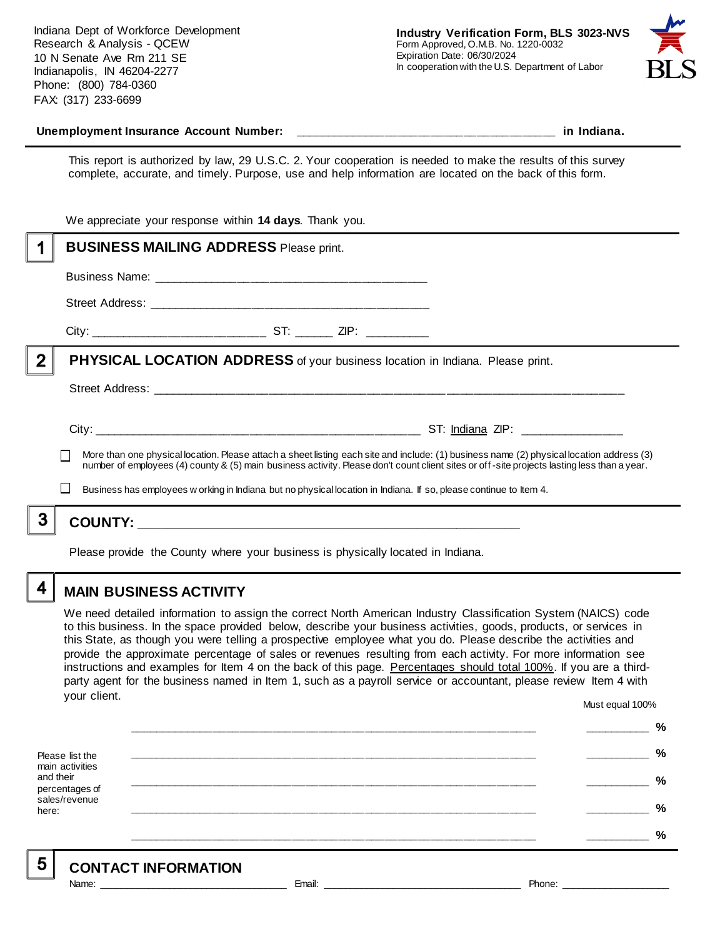Indiana Dept of Workforce Development Research & Analysis - QCEW 10 N Senate Ave Rm 211 SE Indianapolis, IN 46204-2277 Phone: (800) 784-0360 FAX: (317) 233-6699



#### Unemployment Insurance Account Number: **with a set of the set of the set of the set of the set of the set of the set of the set of the set of the set of the set of the set of the set of the set of the set of the set of the**

This report is authorized by law, 29 U.S.C. 2. Your cooperation is needed to make the results of this survey complete, accurate, and timely. Purpose, use and help information are located on the back of this form.

|   | We appreciate your response within 14 days. Thank you.                                                                                                                                                                                                                                   |  |  |                                                                                                                   |  |
|---|------------------------------------------------------------------------------------------------------------------------------------------------------------------------------------------------------------------------------------------------------------------------------------------|--|--|-------------------------------------------------------------------------------------------------------------------|--|
|   | <b>BUSINESS MAILING ADDRESS Please print.</b>                                                                                                                                                                                                                                            |  |  |                                                                                                                   |  |
|   |                                                                                                                                                                                                                                                                                          |  |  |                                                                                                                   |  |
|   |                                                                                                                                                                                                                                                                                          |  |  |                                                                                                                   |  |
|   |                                                                                                                                                                                                                                                                                          |  |  |                                                                                                                   |  |
| 2 | PHYSICAL LOCATION ADDRESS of your business location in Indiana. Please print.                                                                                                                                                                                                            |  |  |                                                                                                                   |  |
|   |                                                                                                                                                                                                                                                                                          |  |  |                                                                                                                   |  |
|   |                                                                                                                                                                                                                                                                                          |  |  |                                                                                                                   |  |
|   | More than one physical location. Please attach a sheet listing each site and include: (1) business name (2) physical location address (3)<br>number of employees (4) county & (5) main business activity. Please don't count client sites or off-site projects lasting less than a year. |  |  |                                                                                                                   |  |
|   |                                                                                                                                                                                                                                                                                          |  |  | Business has employees w orking in Indiana but no physical location in Indiana. If so, please continue to Item 4. |  |
|   |                                                                                                                                                                                                                                                                                          |  |  |                                                                                                                   |  |
|   | Please provide the County where your business is physically located in Indiana.                                                                                                                                                                                                          |  |  |                                                                                                                   |  |

### **MAIN BUSINESS ACTIVITY**

We need detailed information to assign the correct North American Industry Classification System (NAICS) code to this business. In the space provided below, describe your business activities, goods, products, or services in this State, as though you were telling a prospective employee what you do. Please describe the activities and provide the approximate percentage of sales or revenues resulting from each activity. For more information see instructions and examples for Item 4 on the back of this page. Percentages should total 100%. If you are a thirdparty agent for the business named in Item 1, such as a payroll service or accountant, please review Item 4 with your client. Must equal 100%

Please list the main activities and their percentages of sales/revenue here: **\_\_\_\_\_\_\_\_\_\_\_\_\_\_\_\_\_\_\_\_\_\_\_\_\_\_\_\_\_\_\_\_\_\_\_\_\_\_\_\_\_\_\_\_\_\_\_\_\_\_\_\_\_\_\_\_\_\_\_\_\_\_ \_\_\_\_\_\_\_\_\_\_ % \_\_\_\_\_\_\_\_\_\_\_\_\_\_\_\_\_\_\_\_\_\_\_\_\_\_\_\_\_\_\_\_\_\_\_\_\_\_\_\_\_\_\_\_\_\_\_\_\_\_\_\_\_\_\_\_\_\_\_\_\_\_ \_\_\_\_\_\_\_\_\_\_ % \_\_\_\_\_\_\_\_\_\_\_\_\_\_\_\_\_\_\_\_\_\_\_\_\_\_\_\_\_\_\_\_\_\_\_\_\_\_\_\_\_\_\_\_\_\_\_\_\_\_\_\_\_\_\_\_\_\_\_\_\_\_ \_\_\_\_\_\_\_\_\_\_ % \_\_\_\_\_\_\_\_\_\_\_\_\_\_\_\_\_\_\_\_\_\_\_\_\_\_\_\_\_\_\_\_\_\_\_\_\_\_\_\_\_\_\_\_\_\_\_\_\_\_\_\_\_\_\_\_\_\_\_\_\_\_ \_\_\_\_\_\_\_\_\_\_ % \_\_\_\_\_\_\_\_\_\_\_\_\_\_\_\_\_\_\_\_\_\_\_\_\_\_\_\_\_\_\_\_\_\_\_\_\_\_\_\_\_\_\_\_\_\_\_\_\_\_\_\_\_\_\_\_\_\_\_\_\_\_ \_\_\_\_\_\_\_\_\_\_ %**

5

4